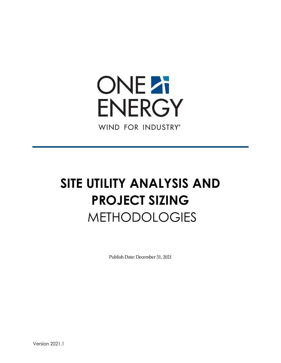

# **SITE UTILITY ANALYSIS AND PROJECT SIZING** METHODOLOGIES

Publish Date: December 31, 2021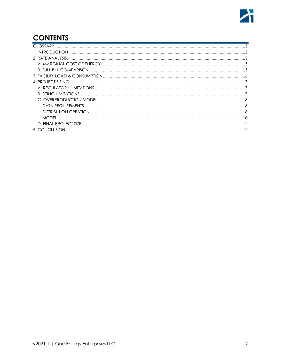# **CONTENTS**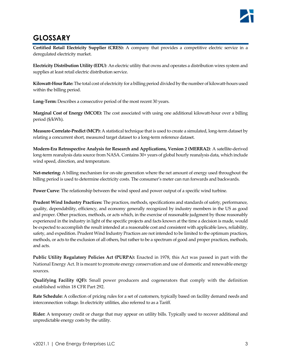# <span id="page-2-0"></span>**GLOSSARY**

**Certified Retail Electricity Supplier (CRES):** A company that provides a competitive electric service in a deregulated electricity market.

**Electricity Distribution Utility (EDU)**: An electric utility that owns and operates a distribution wires system and supplies at least retail electric distribution service.

**Kilowatt-Hour Rate:** The total cost of electricity for a billing period divided by the number of kilowatt-hours used within the billing period.

Long-Term: Describes a consecutive period of the most recent 30 years.

**Marginal Cost of Energy (MCOE):** The cost associated with using one additional kilowatt-hour over a billing period (\$/kWh).

**Measure-Correlate-Predict (MCP):** A statistical technique that is used to create a simulated, long-term dataset by relating a concurrent short, measured target dataset to a long-term reference dataset.

**Modern-Era Retrospective Analysis for Research and Applications, Version 2 (MERRA2)**: A satellite-derived long-term reanalysis data source from NASA. Contains 30+ years of global hourly reanalysis data, which include wind speed, direction, and temperature.

**Net-metering:** A billing mechanism for on-site generation where the net amount of energy used throughout the billing period is used to determine electricity costs. The consumer's meter can run forwards and backwards.

**Power Curve**: The relationship between the wind speed and power output of a specific wind turbine.

**Prudent Wind Industry Practices:** The practices, methods, specifications and standards of safety, performance, quality, dependability, efficiency, and economy generally recognized by industry members in the US as good and proper. Other practices, methods, or acts which, in the exercise of reasonable judgment by those reasonably experienced in the industry in light of the specific projects and facts known at the time a decision is made, would be expected to accomplish the result intended at a reasonable cost and consistent with applicable laws, reliability, safety, and expedition. Prudent Wind Industry Practices are not intended to be limited to the optimum practices, methods, or acts to the exclusion of all others, but rather to be a spectrum of good and proper practices, methods, and acts.

**Public Utility Regulatory Policies Act (PURPA):** Enacted in 1978, this Act was passed in part with the National Energy Act. It is meant to promote energy conservation and use of domestic and renewable energy sources.

**Qualifying Facility (QF):** Small power producers and cogenerators that comply with the definition established within 18 CFR Part 292.

**Rate Schedule:** A collection of pricing rules for a set of customers, typically based on facility demand needs and interconnection voltage. In electricity utilities, also referred to as a Tariff.

**Rider:** A temporary credit or charge that may appear on utility bills. Typically used to recover additional and unpredictable energy costs by the utility.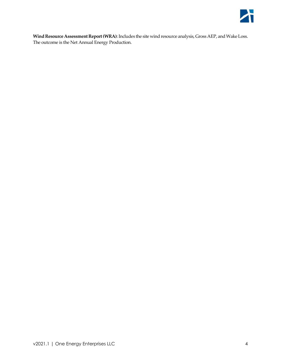

<span id="page-3-0"></span>**Wind Resource Assessment Report (WRA)**: Includes the site wind resource analysis, Gross AEP, and Wake Loss. The outcome is the Net Annual Energy Production.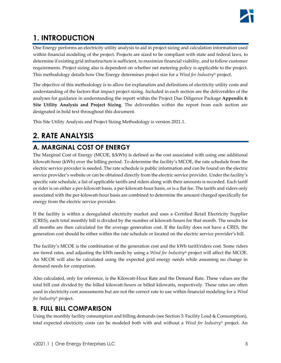# **1. INTRODUCTION**

One Energy performs an electricity utility analysis to aid in project sizing and calculation information used within financial modeling of the project. Projects are sized to be compliant with state and federal laws, to determine if existing grid infrastructure is sufficient, to maximize financial viability, and to follow customer requirements. Project sizing also is dependent on whether net metering policy is applicable to the project. This methodology details how One Energy determines project size for a *Wind for Industry®* project.

The objective of this methodology is to allow for explanation and definitions of electricity utility costs and understanding of the factors that impact project sizing. Included in each section are the deliverables of the analyses for guidance in understanding the report within the Project Due Diligence Package **Appendix 4: Site Utility Analysis and Project Sizing**. The deliverables within the report from each section are designated in bold text throughout this document.

This Site Utility Analysis and Project Sizing Methodology is version 2021.1.

# <span id="page-4-0"></span>**2. RATE ANALYSIS**

# <span id="page-4-1"></span>**A. MARGINAL COST OF ENERGY**

The Marginal Cost of Energy (MCOE, \$/kWh) is defined as the cost associated with using one additional kilowatt-hour (kWh) over the billing period. To determine the facility's MCOE, the rate schedule from the electric service provider is needed. The rate schedule is public information and can be found on the electric service provider's website or can be obtained directly from the electric service provider. Under the facility's specific rate schedule, a list of applicable tariffs and riders along with their amounts is recorded. Each tariff or rider is on either a per-kilowatt basis, a per-kilowatt-hour basis, or is a flat fee. The tariffs and riders only associated with the per-kilowatt-hour basis are combined to determine the amount charged specifically for energy from the electric service provider.

If the facility is within a deregulated electricity market and uses a Certified Retail Electricity Supplier (CRES), each total monthly bill is divided by the number of kilowatt-hours for that month. The results for all months are then calculated for the average generation cost. If the facility does not have a CRES, the generation cost should be either within the rate schedule or located on the electric service provider's bill.

The facility's MCOE is the combination of the generation cost and the kWh tariff/riders cost. Some riders are tiered rates, and adjusting the kWh needs by using a *Wind for Industry®* project will affect the MCOE. An MCOE will also be calculated using the expected grid energy needs while assuming no change in demand needs for comparison.

Also calculated, only for reference, is the Kilowatt-Hour Rate and the Demand Rate. These values are the total bill cost divided by the billed kilowatt-hours or billed kilowatts, respectively. These rates are often used in electricity cost assessments but are not the correct rate to use within financial modeling for a *Wind for Industry®* project.

## <span id="page-4-2"></span>**B. FULL BILL COMPARISON**

Using the monthly facility consumption and billing demands (see Section 3: Facility Load & Consumption), total expected electricity costs can be modeled both with and without a *Wind for Industry®* project. An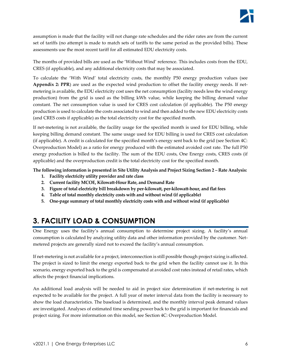assumption is made that the facility will not change rate schedules and the rider rates are from the current set of tariffs (no attempt is made to match sets of tariffs to the same period as the provided bills). These assessments use the most recent tariff for all estimated EDU electricity costs.

The months of provided bills are used as the 'Without Wind' reference. This includes costs from the EDU, CRES (if applicable), and any additional electricity costs that may be associated.

To calculate the 'With Wind' total electricity costs, the monthly P50 energy production values (see **Appendix 2: PPR**) are used as the expected wind production to offset the facility energy needs. If netmetering is available, the EDU electricity cost uses the net consumption (facility needs less the wind energy production) from the grid is used as the billing kWh value, while keeping the billing demand value constant. The net consumption value is used for CRES cost calculation (if applicable). The P50 energy production is used to calculate the costs associated to wind and then added to the new EDU electricity costs (and CRES costs if applicable) as the total electricity cost for the specified month.

If net-metering is not available, the facility usage for the specified month is used for EDU billing, while keeping billing demand constant. The same usage used for EDU billing is used for CRES cost calculation (if applicable). A credit is calculated for the specified month's energy sent back to the grid (see Section 4C: Overproduction Model) as a ratio for energy produced with the estimated avoided cost rate. The full P50 energy production is billed to the facility. The sum of the EDU costs, One Energy costs, CRES costs (if applicable) and the overproduction credit is the total electricity cost for the specified month.

**The following information is presented in Site Utility Analysis and Project Sizing Section 2 – Rate Analysis:**

- **1. Facility electricity utility provider and rate class**
- **2. Current facility MCOE, Kilowatt-Hour Rate, and Demand Rate**
- **3. Figure of total electricity bill breakdown by per-kilowatt, per-kilowatt-hour, and flat fees**
- **4. Table of total monthly electricity costs with and without wind (if applicable)**
- **5. One-page summary of total monthly electricity costs with and without wind (if applicable)**

# <span id="page-5-0"></span>**3. FACILITY LOAD & CONSUMPTION**

One Energy uses the facility's annual consumption to determine project sizing. A facility's annual consumption is calculated by analyzing utility data and other information provided by the customer. Netmetered projects are generally sized not to exceed the facility's annual consumption.

If net-metering is not available for a project, interconnection is still possible though project sizing is affected. The project is sized to limit the energy exported back to the grid when the facility cannot use it. In this scenario, energy exported back to the grid is compensated at avoided cost rates instead of retail rates, which affects the project financial implications.

An additional load analysis will be needed to aid in project size determination if net-metering is not expected to be available for the project. A full year of meter interval data from the facility is necessary to show the load characteristics. The baseload is determined, and the monthly interval peak demand values are investigated. Analyses of estimated time sending power back to the grid is important for financials and project sizing. For more information on this model, see Section 4C: Overproduction Model.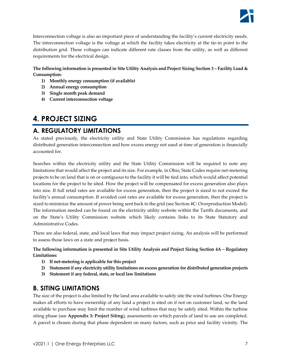

Interconnection voltage is also an important piece of understanding the facility's current electricity needs. The interconnection voltage is the voltage at which the facility takes electricity at the tie-in point to the distribution grid. These voltages can indicate different rate classes from the utility, as well as different requirements for the electrical design.

#### **The following information is presented in Site Utility Analysis and Project Sizing Section 3 – Facility Load & Consumption:**

- **1) Monthly energy consumption (if available)**
- **2) Annual energy consumption**
- **3) Single month peak demand**
- **4) Current interconnection voltage**

## <span id="page-6-0"></span>**4. PROJECT SIZING**

## <span id="page-6-1"></span>**A. REGULATORY LIMITATIONS**

As stated previously, the electricity utility and State Utility Commission has regulations regarding distributed generation interconnection and how excess energy not used at time of generation is financially accounted for.

Searches within the electricity utility and the State Utility Commission will be required to note any limitations that would affect the project and its size. For example, in Ohio, State Codes require net-metering projects to be on land that is on or contiguous to the facility it will be tied into, which would affect potential locations for the project to be sited. How the project will be compensated for excess generation also plays into size. If full retail rates are available for excess generation, then the project is sized to not exceed the facility's annual consumption. If avoided cost rates are available for excess generation, then the project is sized to minimize the amount of power being sent back to the grid (see Section 4C: Overproduction Model). The information needed can be found on the electricity utility website within the Tariffs documents, and on the State's Utility Commission website which likely contains links to its State Statutory and Administrative Codes.

There are also federal, state, and local laws that may impact project sizing. An analysis will be performed to assess those laws on a state and project basis.

**The following information is presented in Site Utility Analysis and Project Sizing Section 4A – Regulatory Limitations:**

- **1) If net-metering is applicable for this project**
- **2) Statement if any electricity utility limitations on excess generation for distributed generation projects**
- **3) Statement if any federal, state, or local law limitations**

## <span id="page-6-2"></span>**B. SITING LIMITATIONS**

The size of the project is also limited by the land area available to safely site the wind turbines. One Energy makes all efforts to have ownership of any land a project is sited on if not on customer land, so the land available to purchase may limit the number of wind turbines that may be safely sited. Within the turbine siting phase (see **Appendix 3: Project Siting**), assessments on which parcels of land to use are completed. A parcel is chosen during that phase dependent on many factors, such as price and facility vicinity. The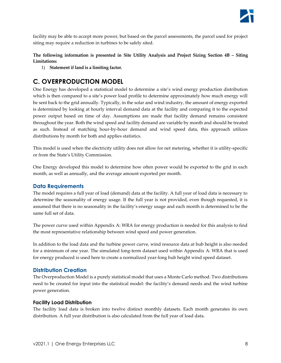

facility may be able to accept more power, but based on the parcel assessments, the parcel used for project siting may require a reduction in turbines to be safely sited.

#### **The following information is presented in Site Utility Analysis and Project Sizing Section 4B – Siting Limitations:**

1) **Statement if land is a limiting factor.**

## <span id="page-7-0"></span>**C. OVERPRODUCTION MODEL**

One Energy has developed a statistical model to determine a site's wind energy production distribution which is then compared to a site's power load profile to determine approximately how much energy will be sent back to the grid annually. Typically, in the solar and wind industry, the amount of energy exported is determined by looking at hourly interval demand data at the facility and comparing it to the expected power output based on time of day. Assumptions are made that facility demand remains consistent throughout the year. Both the wind speed and facility demand are variable by month and should be treated as such. Instead of matching hour-by-hour demand and wind speed data, this approach utilizes distributions by month for both and applies statistics.

This model is used when the electricity utility does not allow for net metering, whether it is utility-specific or from the State's Utility Commission.

One Energy developed this model to determine how often power would be exported to the grid in each month, as well as annually, and the average amount exported per month.

### <span id="page-7-1"></span>**Data Requirements**

The model requires a full year of load (demand) data at the facility. A full year of load data is necessary to determine the seasonality of energy usage. If the full year is not provided, even though requested, it is assumed that there is no seasonality in the facility's energy usage and each month is determined to be the same full set of data.

The power curve used within Appendix A: WRA for energy production is needed for this analysis to find the most representative relationship between wind speed and power generation.

In addition to the load data and the turbine power curve, wind resource data at hub height is also needed for a minimum of one year. The simulated long-term dataset used within Appendix A: WRA that is used for energy produced is used here to create a normalized year-long hub height wind speed dataset.

#### <span id="page-7-2"></span>**Distribution Creation**

The Overproduction Model is a purely statistical model that uses a Monte Carlo method. Two distributions need to be created for input into the statistical model: the facility's demand needs and the wind turbine power generation.

#### **Facility Load Distribution**

The facility load data is broken into twelve distinct monthly datasets. Each month generates its own distribution. A full year distribution is also calculated from the full year of load data.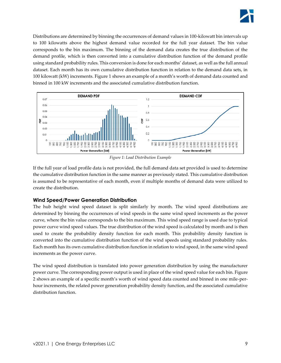Distributions are determined by binning the occurrences of demand values in 100-kilowatt bin intervals up to 100 kilowatts above the highest demand value recorded for the full year dataset. The bin value corresponds to the bin maximum. The binning of the demand data creates the true distribution of the demand profile, which is then converted into a cumulative distribution function of the demand profile using standard probability rules. This conversion is done for each months' dataset, as well as the full annual dataset. Each month has its own cumulative distribution function in relation to the demand data sets, in 100 kilowatt (kW) increments. [Figure 1](#page-8-0) shows an example of a month's worth of demand data counted and binned in 100 kW increments and the associated cumulative distribution function.



*Figure 1: Load Distribution Example*

<span id="page-8-0"></span>If the full year of load profile data is not provided, the full demand data set provided is used to determine the cumulative distribution function in the same manner as previously stated. This cumulative distribution is assumed to be representative of each month, even if multiple months of demand data were utilized to create the distribution.

## **Wind Speed/Power Generation Distribution**

The hub height wind speed dataset is split similarly by month. The wind speed distributions are determined by binning the occurrences of wind speeds in the same wind speed increments as the power curve, where the bin value corresponds to the bin maximum. This wind speed range is used due to typical power curve wind speed values. The true distribution of the wind speed is calculated by month and is then used to create the probability density function for each month. This probability density function is converted into the cumulative distribution function of the wind speeds using standard probability rules. Each month has its own cumulative distribution function in relation to wind speed, in the same wind speed increments as the power curve.

The wind speed distribution is translated into power generation distribution by using the manufacturer power curve. The corresponding power output is used in place of the wind speed value for each bin[. Figure](#page-9-1)  [2](#page-9-1) shows an example of a specific month's worth of wind speed data counted and binned in one mile-perhour increments, the related power generation probability density function, and the associated cumulative distribution function.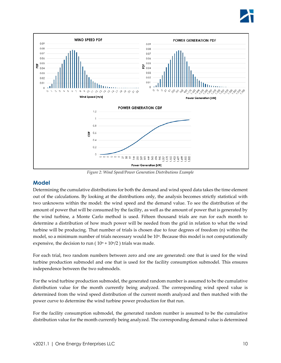



*Figure 2: Wind Speed/Power Generation Distributions Example*

#### <span id="page-9-1"></span><span id="page-9-0"></span>**Model**

Determining the cumulative distributions for both the demand and wind speed data takes the time element out of the calculations. By looking at the distributions only, the analysis becomes strictly statistical with two unknowns within the model: the wind speed and the demand value. To see the distribution of the amount of power that will be consumed by the facility, as well as the amount of power that is generated by the wind turbine, a Monte Carlo method is used. Fifteen thousand trials are run for each month to determine a distribution of how much power will be needed from the grid in relation to what the wind turbine will be producing. That number of trials is chosen due to four degrees of freedom (n) within the model, so a minimum number of trials necessary would be  $10<sup>n</sup>$ . Because this model is not computationally expensive, the decision to run ( $10^n + 10^n/2$ ) trials was made.

For each trial, two random numbers between zero and one are generated: one that is used for the wind turbine production submodel and one that is used for the facility consumption submodel. This ensures independence between the two submodels.

For the wind turbine production submodel, the generated random number is assumed to be the cumulative distribution value for the month currently being analyzed. The corresponding wind speed value is determined from the wind speed distribution of the current month analyzed and then matched with the power curve to determine the wind turbine power production for that run.

For the facility consumption submodel, the generated random number is assumed to be the cumulative distribution value for the month currently being analyzed. The corresponding demand value is determined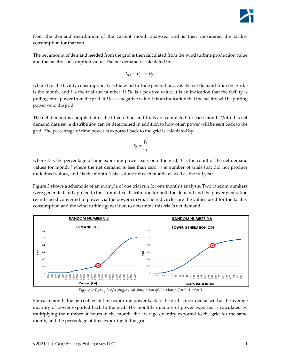from the demand distribution of the current month analyzed and is then considered the facility consumption for that run.

The net amount of demand needed from the grid is then calculated from the wind turbine production value and the facility consumption value. The net demand is calculated by:

$$
C_{j,i} - G_{j,i} = D_{j,i}
$$

where *C* is the facility consumption, *G* is the wind turbine generation, *D* is the net demand from the grid, *j* is the month, and *i* is the trial run number. If  $D_{j,i}$  is a positive value, it is an indication that the facility is pulling extra power from the grid. If *Dj,i* is a negative value, it is an indication that the facility will be putting power onto the grid.

The net demand is compiled after the fifteen thousand trials are completed for each month. With this net demand data set, a distribution can be determined in addition to how often power will be sent back to the grid. The percentage of time power is exported back to the grid is calculated by:

$$
E_j = \frac{T_j}{n_j}
$$

where  $E$  is the percentage of time exporting power back onto the grid,  $T$  is the count of the net demand values for month *j* where the net demand is less than zero, *n* is number of trials that did not produce undefined values, and *j* is the month. This is done for each month, as well as the full year.

[Figure 3](#page-10-0) shows a schematic of an example of one trial run for one month's analysis. Two random numbers were generated and applied to the cumulative distribution for both the demand and the power generation (wind speed converted to power via the power curve). The red circles are the values used for the facility consumption and the wind turbine generation to determine this trial's net demand.



*Figure 3: Example of a single trial simulation of the Monte Carlo Analysis*

<span id="page-10-0"></span>For each month, the percentage of time exporting power back to the grid is recorded as well as the average quantity of power exported back to the grid. The monthly quantity of power exported is calculated by multiplying the number of hours in the month, the average quantity exported to the grid for the same month, and the percentage of time exporting to the grid.